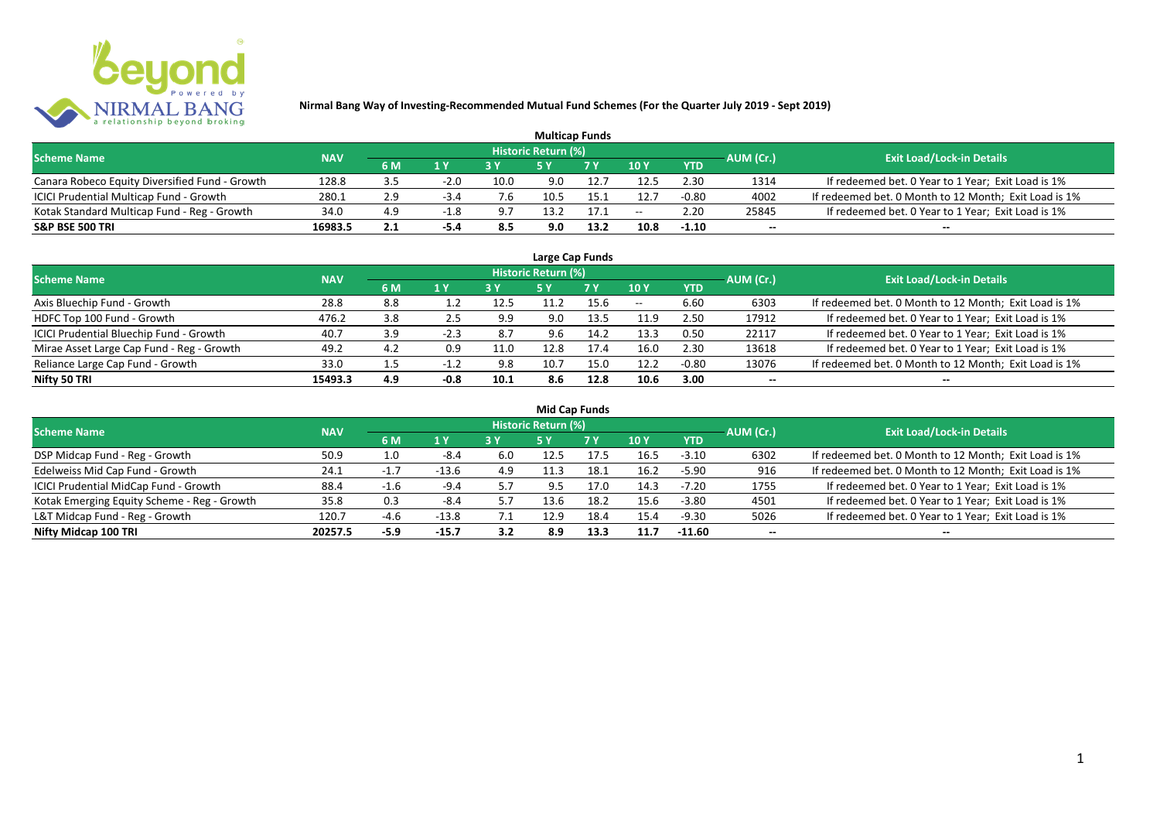

| <b>Multicap Funds</b>                          |            |     |        |      |                            |           |               |            |           |                                                       |  |  |  |
|------------------------------------------------|------------|-----|--------|------|----------------------------|-----------|---------------|------------|-----------|-------------------------------------------------------|--|--|--|
| <b>Scheme Name</b>                             | <b>NAV</b> |     |        |      | <b>Historic Return (%)</b> |           |               |            | AUM (Cr.) | <b>Exit Load/Lock-in Details</b>                      |  |  |  |
|                                                |            | 6 M | 1 Y    |      |                            | <b>7Y</b> | $\sqrt{10}$ y | <b>YTD</b> |           |                                                       |  |  |  |
| Canara Robeco Equity Diversified Fund - Growth | 128.8      | 3.5 | $-2.0$ | 10.0 | 9.0                        | 12.7      | 12.5          | 2.30       | 1314      | If redeemed bet. 0 Year to 1 Year; Exit Load is 1%    |  |  |  |
| ICICI Prudential Multicap Fund - Growth        | 280.1      | 2.9 | $-3.4$ | 7.6  |                            |           | 12.7          | $-0.80$    | 4002      | If redeemed bet. 0 Month to 12 Month; Exit Load is 1% |  |  |  |
| Kotak Standard Multicap Fund - Reg - Growth    | 34.0       | 4.9 | $-1.8$ | 9.7  | 13.2                       | 17.1      | $- -$         | 2.20       | 25845     | If redeemed bet. 0 Year to 1 Year; Exit Load is 1%    |  |  |  |
| <b>S&amp;P BSE 500 TRI</b>                     | 16983.5    | 2.1 | -5.4   | 8.5  | 9.0                        | 13.2      | 10.8          | $-1.10$    | $-$       | $- -$                                                 |  |  |  |

| Large Cap Funds                           |            |     |        |      |                            |           |       |            |           |                                                       |  |  |  |
|-------------------------------------------|------------|-----|--------|------|----------------------------|-----------|-------|------------|-----------|-------------------------------------------------------|--|--|--|
| <b>Scheme Name</b>                        | <b>NAV</b> |     |        |      | <b>Historic Return (%)</b> |           |       |            | AUM (Cr.) | <b>Exit Load/Lock-in Details</b>                      |  |  |  |
|                                           |            | 6 M | 1Y     | 3Y   | <b>5 Y</b>                 | <b>7Y</b> | 10Y   | <b>YTD</b> |           |                                                       |  |  |  |
| Axis Bluechip Fund - Growth               | 28.8       | 8.8 |        | 12.5 | 11.2                       | 15.6      | $- -$ | 6.60       | 6303      | If redeemed bet. 0 Month to 12 Month; Exit Load is 1% |  |  |  |
| HDFC Top 100 Fund - Growth                | 476.2      | 3.8 | 2.5    | 9.9  | 9.0                        | 13.5      | 11.9  | 2.50       | 17912     | If redeemed bet. 0 Year to 1 Year; Exit Load is 1%    |  |  |  |
| ICICI Prudential Bluechip Fund - Growth   | 40.7       | 3.9 | $-2.3$ | 8.7  | 9.6                        | 14.2      | 13.3  | 0.50       | 22117     | If redeemed bet. 0 Year to 1 Year; Exit Load is 1%    |  |  |  |
| Mirae Asset Large Cap Fund - Reg - Growth | 49.2       | 4.2 | 0.9    | 11.0 | 12.8                       | 17.4      | 16.0  | 2.30       | 13618     | If redeemed bet. 0 Year to 1 Year; Exit Load is 1%    |  |  |  |
| Reliance Large Cap Fund - Growth          | 33.0       |     | $-1.2$ | 9.8  | 10.7                       | 15.0      | 12.2  | $-0.80$    | 13076     | If redeemed bet. 0 Month to 12 Month; Exit Load is 1% |  |  |  |
| Nifty 50 TRI                              | 15493.3    | 4.9 | $-0.8$ | 10.1 | 8.6                        | 12.8      | 10.6  | 3.00       |           | --                                                    |  |  |  |

| <b>Mid Cap Funds</b>                        |            |        |         |              |                     |           |      |            |                          |                                                       |  |  |  |  |
|---------------------------------------------|------------|--------|---------|--------------|---------------------|-----------|------|------------|--------------------------|-------------------------------------------------------|--|--|--|--|
| <b>Scheme Name</b>                          | <b>NAV</b> |        |         |              | Historic Return (%) |           |      |            | AUM (Cr.)                | <b>Exit Load/Lock-in Details</b>                      |  |  |  |  |
|                                             |            | 6 M    | 1 Y     |              | 5 Y                 | <b>7Y</b> | 10Y  | <b>YTD</b> |                          |                                                       |  |  |  |  |
| DSP Midcap Fund - Reg - Growth              | 50.9       | 1.0    | $-8.4$  | 6.0          | 12.5                | 17.5      | 16.5 | $-3.10$    | 6302                     | If redeemed bet. 0 Month to 12 Month; Exit Load is 1% |  |  |  |  |
| Edelweiss Mid Cap Fund - Growth             | 24.1       | $-1.7$ | $-13.6$ | 4.9          | 11.3                | 18.1      | 16.2 | $-5.90$    | 916                      | If redeemed bet. 0 Month to 12 Month; Exit Load is 1% |  |  |  |  |
| ICICI Prudential MidCap Fund - Growth       | 88.4       | $-1$   | $-9.4$  | 5.7          | 9.5                 | 17.0      | 14.3 | $-7.20$    | 1755                     | If redeemed bet. 0 Year to 1 Year; Exit Load is 1%    |  |  |  |  |
| Kotak Emerging Equity Scheme - Reg - Growth | 35.8       | 0.3    | -8.4    | 5.7          | 13.6                | 18.2      | 15.6 | $-3.80$    | 4501                     | If redeemed bet. 0 Year to 1 Year; Exit Load is 1%    |  |  |  |  |
| L&T Midcap Fund - Reg - Growth              | 120.7      | $-4.6$ | $-13.8$ | $\lambda$ .1 | 12.9                | 18.4      | 15.4 | $-9.30$    | 5026                     | If redeemed bet. 0 Year to 1 Year; Exit Load is 1%    |  |  |  |  |
| Nifty Midcap 100 TRI                        | 20257.5    | $-5.9$ | $-15.7$ | 3.2          | 8.9                 | 13.3      | 11.7 | $-11.60$   | $\overline{\phantom{a}}$ | $- -$                                                 |  |  |  |  |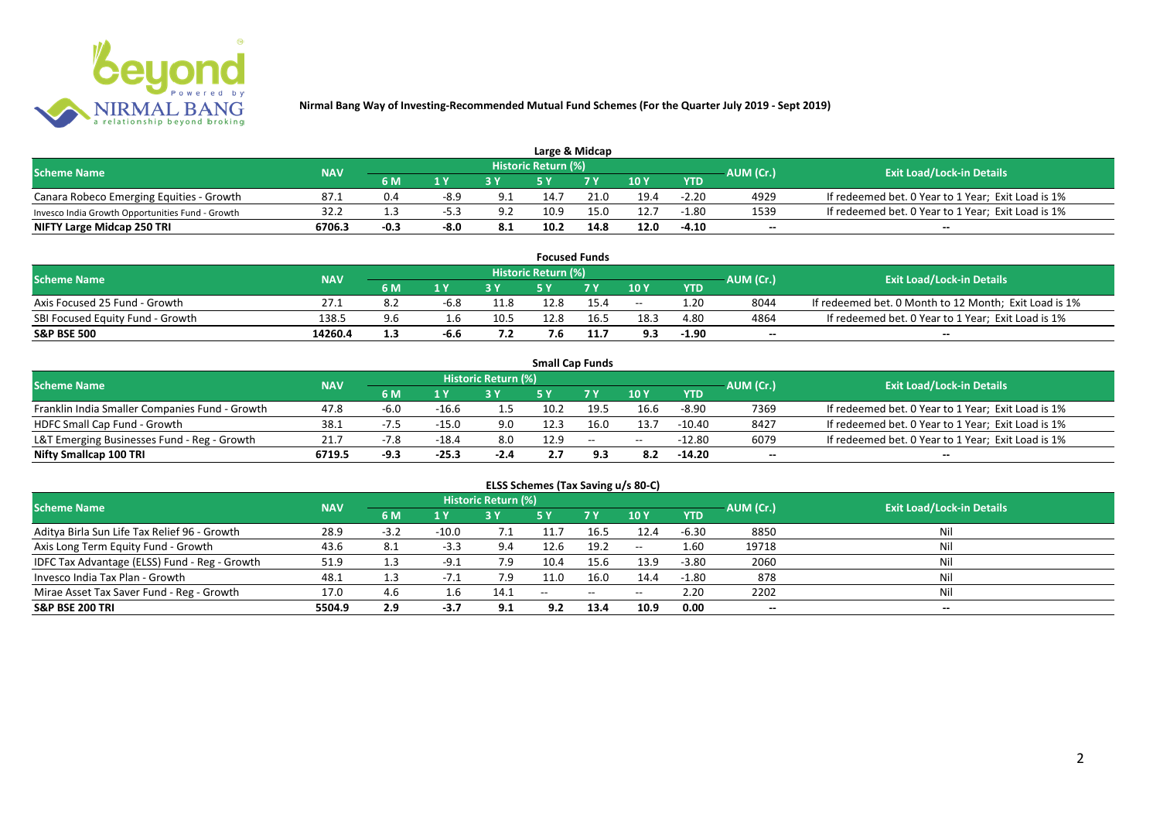

| Large & Midcap                                   |            |        |        |      |                            |                |      |            |           |                                                    |  |  |  |
|--------------------------------------------------|------------|--------|--------|------|----------------------------|----------------|------|------------|-----------|----------------------------------------------------|--|--|--|
| <b>Scheme Name</b>                               | <b>NAV</b> |        |        |      | <b>Historic Return (%)</b> |                |      |            | AUM (Cr.) | <b>Exit Load/Lock-in Details</b>                   |  |  |  |
|                                                  |            | 6 M    | 1 V    |      |                            | 7 <sub>V</sub> | 10Y  | <b>YTD</b> |           |                                                    |  |  |  |
| Canara Robeco Emerging Equities - Growth         | 87.1       | 0.4    | $-8.9$ | 9.1  | 14.7                       | 21.0           | 19.4 | $-2.20$    | 4929      | If redeemed bet. 0 Year to 1 Year; Exit Load is 1% |  |  |  |
| Invesco India Growth Opportunities Fund - Growth | 32.2       |        |        | 9.2  | 10.9                       | 15.0           | 12.7 | $-1.80$    | 1539      | If redeemed bet. 0 Year to 1 Year; Exit Load is 1% |  |  |  |
| NIFTY Large Midcap 250 TRI                       | 6706.3     | $-0.3$ | $-8.0$ | -8.1 | 10.2                       | 14.8           | 12.0 | $-4.10$    | $- -$     | $- -$                                              |  |  |  |

| <b>Focused Funds</b>             |            |     |        |             |                     |      |       |            |           |                                                       |  |  |  |
|----------------------------------|------------|-----|--------|-------------|---------------------|------|-------|------------|-----------|-------------------------------------------------------|--|--|--|
| <b>Scheme Name</b>               | <b>NAV</b> |     |        |             | Historic Return (%) |      |       |            | AUM (Cr.) | <b>Exit Load/Lock-in Details</b>                      |  |  |  |
|                                  |            | 6 M | 1 V    |             | c v                 | 7 V  | 10 Y  | <b>YTD</b> |           |                                                       |  |  |  |
| Axis Focused 25 Fund - Growth    | 27.1       | ے.∂ | $-6.8$ | 11.8        | 12.8                | 15.4 | $- -$ | 1.20       | 8044      | If redeemed bet. 0 Month to 12 Month; Exit Load is 1% |  |  |  |
| SBI Focused Equity Fund - Growth | 138.5      | 9.6 |        | 10.5        | 12.8                | 16.5 | دُ.18 | 4.80       | 4864      | If redeemed bet. 0 Year to 1 Year; Exit Load is 1%    |  |  |  |
| <b>S&amp;P BSE 500</b>           | 14260.4    |     | $-6.6$ | - -<br>, .z | 7.6                 | 11.7 | 9.3   | $-1.90$    | $- -$     | $- -$                                                 |  |  |  |

| <b>Small Cap Funds</b>                         |            |        |         |                     |      |               |       |            |           |                                                    |  |  |  |  |
|------------------------------------------------|------------|--------|---------|---------------------|------|---------------|-------|------------|-----------|----------------------------------------------------|--|--|--|--|
| <b>Scheme Name</b>                             | <b>NAV</b> |        |         | Historic Return (%) |      |               |       |            | AUM (Cr.) | <b>Exit Load/Lock-in Details</b>                   |  |  |  |  |
|                                                |            | 6 M    | 1 V     |                     |      | 7 V           | 10Y   | <b>YTD</b> |           |                                                    |  |  |  |  |
| Franklin India Smaller Companies Fund - Growth | 47.8       | $-6.0$ | $-16.6$ |                     | 10.2 | 19.5          | 16.6  | $-8.90$    | 7369      | If redeemed bet. 0 Year to 1 Year; Exit Load is 1% |  |  |  |  |
| HDFC Small Cap Fund - Growth                   | 38.1       | -7.5   | $-15.0$ | 9.0                 | 12.3 | 16.0          | 13.7  | $-10.40$   | 8427      | If redeemed bet. 0 Year to 1 Year; Exit Load is 1% |  |  |  |  |
| L&T Emerging Businesses Fund - Reg - Growth    | 21.7       | $-7.8$ | $-18.4$ | 8.0                 | 12.9 | $\sim$ $\sim$ | $- -$ | $-12.80$   | 6079      | If redeemed bet. 0 Year to 1 Year; Exit Load is 1% |  |  |  |  |
| Nifty Smallcap 100 TRI                         | 6719.5     | $-9.3$ | $-25.3$ | $-2.4$              | 2.7  |               | 8.2   | -14.20     | $- -$     |                                                    |  |  |  |  |

# **ELSS Schemes (Tax Saving u/s 80-C)**

| <b>Scheme Name</b>                            | <b>NAV</b> |        |         | <b>Historic Return (%)</b> |                          |                          |               |            | AUM (Cr.) | <b>Exit Load/Lock-in Details</b> |
|-----------------------------------------------|------------|--------|---------|----------------------------|--------------------------|--------------------------|---------------|------------|-----------|----------------------------------|
|                                               |            | 6 M    | $A$ Y   |                            | <b>5Y</b>                | 7Y                       | 10Y           | <b>YTD</b> |           |                                  |
| Aditya Birla Sun Life Tax Relief 96 - Growth  | 28.9       | $-3.2$ | $-10.0$ |                            |                          | 16.5                     | 12.4          | -6.30      | 8850      | Nil                              |
| Axis Long Term Equity Fund - Growth           | 43.6       | - 8.1  | -3.3    | 9.4                        | 12.6                     | 19.2                     | $\sim$ $\sim$ | 1.60       | 19718     |                                  |
| IDFC Tax Advantage (ELSS) Fund - Reg - Growth | 51.9       | 1.3    | $-9.1$  | 7.9                        | 10.4                     | 15.6                     | 13.9          | $-3.80$    | 2060      |                                  |
| Invesco India Tax Plan - Growth               | 48.1       | 1.3    | $-1.1$  | 7.9                        | 11.0                     | 16.0                     | 14.4          | $-1.80$    | 878       | Nil                              |
| Mirae Asset Tax Saver Fund - Reg - Growth     | 17.0       | 4.6    |         | 14.1                       | $\overline{\phantom{m}}$ | $\overline{\phantom{a}}$ | $- -$         | 2.20       | 2202      | Nil                              |
| <b>S&amp;P BSE 200 TRI</b>                    | 5504.9     | 2.9    | -3.7    | 9.1                        | 9.2                      | 13.4                     | 10.9          | 0.00       | $- -$     | $- -$                            |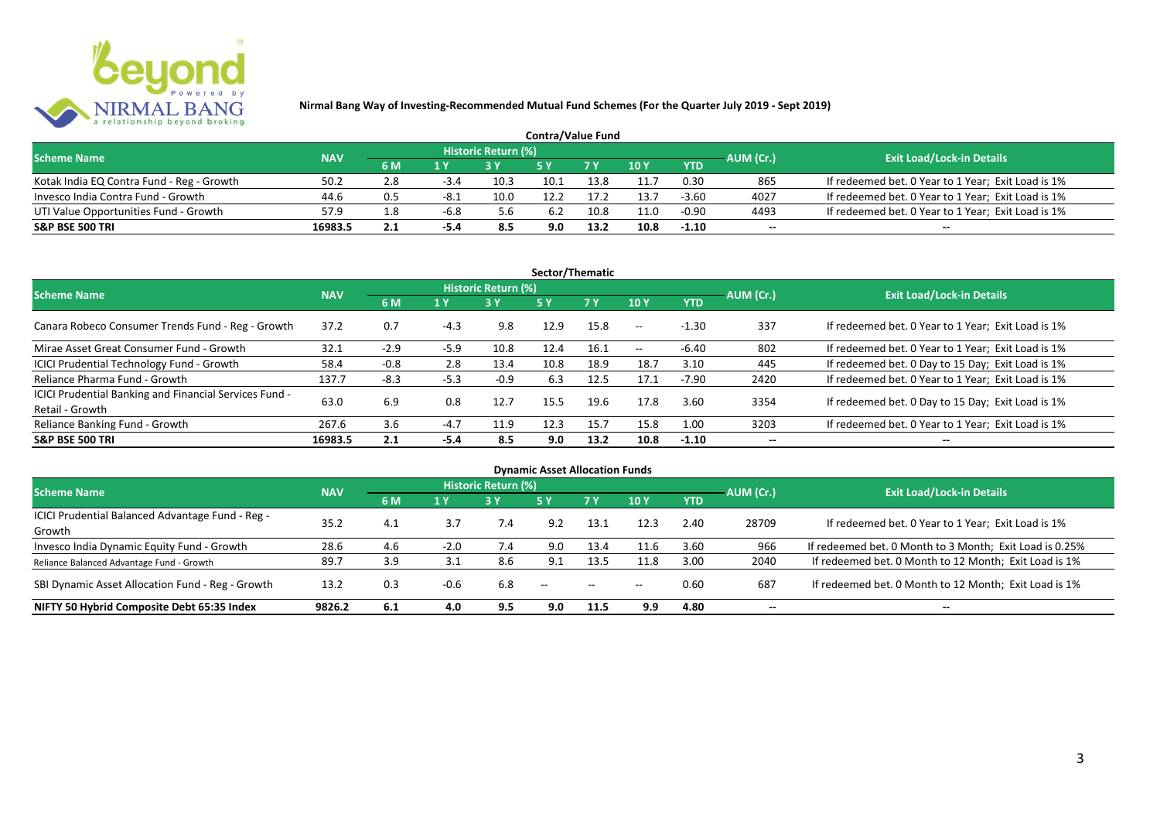

| <b>Contra/Value Fund</b>                  |            |      |        |                     |      |      |      |            |           |                                                    |  |  |  |
|-------------------------------------------|------------|------|--------|---------------------|------|------|------|------------|-----------|----------------------------------------------------|--|--|--|
| <b>Scheme Name</b>                        | <b>NAV</b> |      |        | Historic Return (%) |      |      |      |            | AUM (Cr.) | <b>Exit Load/Lock-in Details</b>                   |  |  |  |
|                                           |            | 6 M  |        |                     |      | 7Y   | 10 Y | <b>YTD</b> |           |                                                    |  |  |  |
| Kotak India EQ Contra Fund - Reg - Growth | 50.2       | 2.8  | $-3.4$ | 10.3                | 10.1 | 13.8 | 11.7 | 0.30       | 865       | If redeemed bet. 0 Year to 1 Year; Exit Load is 1% |  |  |  |
| Invesco India Contra Fund - Growth        | 44.6       | 0.5  | -8.1   | 10.0                | 12.2 |      | 13.7 | $-3.60$    | 4027      | If redeemed bet. 0 Year to 1 Year; Exit Load is 1% |  |  |  |
| UTI Value Opportunities Fund - Growth     | 57.9       | - 8. | -6.8   | 5.6                 | 6.2  | 10.8 | 11.0 | $-0.90$    | 4493      | If redeemed bet. 0 Year to 1 Year; Exit Load is 1% |  |  |  |
| <b>S&amp;P BSE 500 TRI</b>                | 16983.5    | 2.1  | -5.4   | 8.5                 | 9.0  | 13.2 | 10.8 | $-1.10$    | $-$       | $- -$                                              |  |  |  |

| Sector/Thematic                                                           |            |        |        |                            |            |           |            |            |           |                                                    |  |  |  |
|---------------------------------------------------------------------------|------------|--------|--------|----------------------------|------------|-----------|------------|------------|-----------|----------------------------------------------------|--|--|--|
| <b>Scheme Name</b>                                                        | <b>NAV</b> |        |        | <b>Historic Return (%)</b> |            |           |            |            | AUM (Cr.) | <b>Exit Load/Lock-in Details</b>                   |  |  |  |
|                                                                           |            | 6 M    | 1 Y    | <b>3 Y</b>                 | <b>5 Y</b> | <b>7Y</b> | 10Y        | <b>YTD</b> |           |                                                    |  |  |  |
| Canara Robeco Consumer Trends Fund - Reg - Growth                         | 37.2       | 0.7    | $-4.3$ | 9.8                        | 12.9       | 15.8      | $- -$      | $-1.30$    | 337       | If redeemed bet. 0 Year to 1 Year; Exit Load is 1% |  |  |  |
| Mirae Asset Great Consumer Fund - Growth                                  | 32.1       | $-2.9$ | $-5.9$ | 10.8                       | 12.4       | 16.1      | $\sim$ $-$ | $-6.40$    | 802       | If redeemed bet. 0 Year to 1 Year; Exit Load is 1% |  |  |  |
| <b>ICICI Prudential Technology Fund - Growth</b>                          | 58.4       | $-0.8$ | 2.8    | 13.4                       | 10.8       | 18.9      | 18.7       | 3.10       | 445       | If redeemed bet. 0 Day to 15 Day; Exit Load is 1%  |  |  |  |
| Reliance Pharma Fund - Growth                                             | 137.7      | $-8.3$ | $-5.3$ | $-0.9$                     | 6.3        | 12.5      | 17.1       | $-7.90$    | 2420      | If redeemed bet. 0 Year to 1 Year; Exit Load is 1% |  |  |  |
| ICICI Prudential Banking and Financial Services Fund -<br>Retail - Growth | 63.0       | 6.9    | 0.8    | 12.7                       | 15.5       | 19.6      | 17.8       | 3.60       | 3354      | If redeemed bet. 0 Day to 15 Day; Exit Load is 1%  |  |  |  |
| Reliance Banking Fund - Growth                                            | 267.6      | 3.6    | $-4.7$ | 11.9                       | 12.3       | 15.7      | 15.8       | 1.00       | 3203      | If redeemed bet. 0 Year to 1 Year; Exit Load is 1% |  |  |  |
| <b>S&amp;P BSE 500 TRI</b>                                                | 16983.5    | 2.1    | -5.4   | 8.5                        | 9.0        | 13.2      | 10.8       | $-1.10$    | --        | --                                                 |  |  |  |

| <b>Dynamic Asset Allocation Funds</b>            |            |     |        |                            |               |            |       |            |                          |                                                         |  |  |  |
|--------------------------------------------------|------------|-----|--------|----------------------------|---------------|------------|-------|------------|--------------------------|---------------------------------------------------------|--|--|--|
| <b>Scheme Name</b>                               | <b>NAV</b> |     |        | <b>Historic Return (%)</b> |               |            |       |            | AUM (Cr.)                | <b>Exit Load/Lock-in Details</b>                        |  |  |  |
|                                                  |            | 6 M | 1 Y    | 3 Y                        | 5 Y           | 7Y         | 10Y   | <b>YTD</b> |                          |                                                         |  |  |  |
| ICICI Prudential Balanced Advantage Fund - Reg - | 35.2       | 4.1 | 3.7    |                            | 9.2           | 13.1       | 12.3  | 2.40       | 28709                    | If redeemed bet. 0 Year to 1 Year; Exit Load is 1%      |  |  |  |
| Growth                                           |            |     |        | 7.4                        |               |            |       |            |                          |                                                         |  |  |  |
| Invesco India Dynamic Equity Fund - Growth       | 28.6       | 4.6 | $-2.0$ | 7.4                        | 9.0           | 13.4       | 11.6  | 3.60       | 966                      | If redeemed bet. 0 Month to 3 Month; Exit Load is 0.25% |  |  |  |
| Reliance Balanced Advantage Fund - Growth        | 89.7       | 3.9 |        | 8.6                        | 9.1           | 13.5       | 11.8  | 3.00       | 2040                     | If redeemed bet. 0 Month to 12 Month; Exit Load is 1%   |  |  |  |
| SBI Dynamic Asset Allocation Fund - Reg - Growth | 13.2       | 0.3 | $-0.6$ | 6.8                        | $\sim$ $\sim$ | $\sim$ $-$ | $- -$ | 0.60       | 687                      | If redeemed bet. 0 Month to 12 Month; Exit Load is 1%   |  |  |  |
| NIFTY 50 Hybrid Composite Debt 65:35 Index       | 9826.2     | 6.1 | 4.0    | 9.5                        | 9.0           | 11.5       | 9.9   | 4.80       | $\overline{\phantom{a}}$ | $- -$                                                   |  |  |  |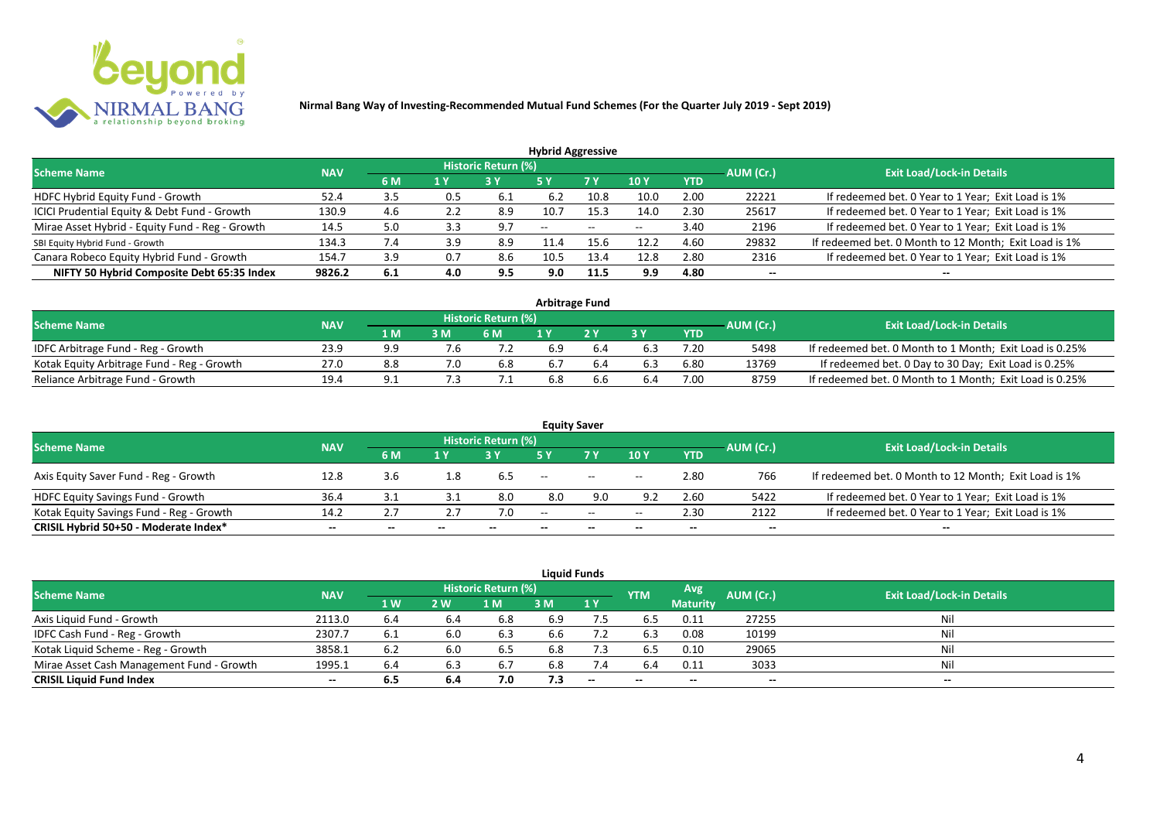

| <b>Hybrid Aggressive</b>                        |            |       |     |                            |                          |      |                          |            |                          |                                                       |  |  |  |  |
|-------------------------------------------------|------------|-------|-----|----------------------------|--------------------------|------|--------------------------|------------|--------------------------|-------------------------------------------------------|--|--|--|--|
| <b>Scheme Name</b>                              | <b>NAV</b> |       |     | <b>Historic Return (%)</b> |                          |      |                          |            | AUM (Cr.)                | <b>Exit Load/Lock-in Details</b>                      |  |  |  |  |
|                                                 |            | 6 M   | 1 Y |                            | 5 Y                      | 7 Y  | 10Y                      | <b>YTD</b> |                          |                                                       |  |  |  |  |
| HDFC Hybrid Equity Fund - Growth                | 52.4       | 3.5   | U.5 | 6.1                        | 6.2                      | 10.8 | 10.0                     | 2.00       | 22221                    | If redeemed bet. 0 Year to 1 Year; Exit Load is 1%    |  |  |  |  |
| ICICI Prudential Equity & Debt Fund - Growth    | 130.9      | 4.6   | 2.2 | 8.9                        | 10.7                     | 15.3 | 14.0                     | 2.30       | 25617                    | If redeemed bet. 0 Year to 1 Year; Exit Load is 1%    |  |  |  |  |
| Mirae Asset Hybrid - Equity Fund - Reg - Growth | 14.5       | 5.0   | 3.3 | 9.7                        | $\overline{\phantom{a}}$ | --   | $\overline{\phantom{a}}$ | 3.40       | 2196                     | If redeemed bet. 0 Year to 1 Year; Exit Load is 1%    |  |  |  |  |
| SBI Equity Hybrid Fund - Growth                 | 134.3      | 7.4   | 3.9 | 8.9                        |                          |      | 12.2                     | 4.60       | 29832                    | If redeemed bet. 0 Month to 12 Month; Exit Load is 1% |  |  |  |  |
| Canara Robeco Equity Hybrid Fund - Growth       | 154.       | 3.9   | 0.7 | 8.6                        | 10.5                     | 13.4 | 12.8                     | 2.80       | 2316                     | If redeemed bet. 0 Year to 1 Year; Exit Load is 1%    |  |  |  |  |
| NIFTY 50 Hybrid Composite Debt 65:35 Index      | 9826.2     | - 6.1 | 4.0 | 9.5                        | 9.0                      | 11.5 | 9.9                      | 4.80       | $\overline{\phantom{a}}$ | $- -$                                                 |  |  |  |  |

| <b>Arbitrage Fund</b>                      |            |     |     |                            |     |    |     |            |           |                                                         |  |  |  |
|--------------------------------------------|------------|-----|-----|----------------------------|-----|----|-----|------------|-----------|---------------------------------------------------------|--|--|--|
| <b>Scheme Name</b>                         | <b>NAV</b> |     |     | <b>Historic Return (%)</b> |     |    |     |            | AUM (Cr.) | <b>Exit Load/Lock-in Details</b>                        |  |  |  |
|                                            |            | 1 M | 3 M | 6 M                        |     | つり |     | <b>YTD</b> |           |                                                         |  |  |  |
| IDFC Arbitrage Fund - Reg - Growth         | 23.9       | g g |     |                            | 6.9 |    |     | 7.20       | 5498      | If redeemed bet. 0 Month to 1 Month; Exit Load is 0.25% |  |  |  |
| Kotak Equity Arbitrage Fund - Reg - Growth | 27.0       | 8.8 |     | 6.8                        | b.7 |    |     | 6.80       | 13769     | If redeemed bet. 0 Day to 30 Day; Exit Load is 0.25%    |  |  |  |
| Reliance Arbitrage Fund - Growth           | 19.4       | Q   |     |                            | 6.8 |    | b.4 | 7.00       | 8759      | If redeemed bet. 0 Month to 1 Month; Exit Load is 0.25% |  |  |  |

|                                          |            |       |       |                     | <b>Equity Saver</b> |                                                |       |            |           |                                                       |
|------------------------------------------|------------|-------|-------|---------------------|---------------------|------------------------------------------------|-------|------------|-----------|-------------------------------------------------------|
| <b>Scheme Name</b>                       | <b>NAV</b> |       |       | Historic Return (%) |                     |                                                |       |            | AUM (Cr.) | <b>Exit Load/Lock-in Details</b>                      |
|                                          |            | 6 M   | 1 V   |                     |                     | 7 <sub>V</sub>                                 | 10Y   | <b>YTD</b> |           |                                                       |
| Axis Equity Saver Fund - Reg - Growth    | 12.8       | 3.6   | 1.8   | 6.5                 | $- -$               | $\hspace{0.1mm}-\hspace{0.1mm}-\hspace{0.1mm}$ | $- -$ | 2.80       | 766       | If redeemed bet. 0 Month to 12 Month; Exit Load is 1% |
| <b>HDFC Equity Savings Fund - Growth</b> | 36.4       | 3.1   |       | 8.0                 | 8.0                 | 9.0                                            | 9.2   | 2.60       | 5422      | If redeemed bet. 0 Year to 1 Year; Exit Load is 1%    |
| Kotak Equity Savings Fund - Reg - Growth | 14.2       | 2.7   |       | 7.0                 | $-$                 | $\sim$                                         | $- -$ | 2.30       | 2122      | If redeemed bet. 0 Year to 1 Year; Exit Load is 1%    |
| CRISIL Hybrid 50+50 - Moderate Index*    | $- -$      | $- -$ | $- -$ |                     | --                  | $- -$                                          |       | $- -$      | $- -$     | $- -$                                                 |

|                                           |            |           |     |                     |     | <b>Liquid Funds</b>      |            |                 |           |                                  |
|-------------------------------------------|------------|-----------|-----|---------------------|-----|--------------------------|------------|-----------------|-----------|----------------------------------|
| <b>Scheme Name</b>                        | <b>NAV</b> |           |     | Historic Return (%) |     |                          | <b>YTM</b> | Avg             | AUM (Cr.) | <b>Exit Load/Lock-in Details</b> |
|                                           |            | <b>1W</b> | 2 W | M                   | 3 M | 1Y                       |            | <b>Maturity</b> |           |                                  |
| Axis Liquid Fund - Growth                 | 2113.0     | 6.4       |     | 6.8                 | 6.9 | 7.5                      | 6.5        | 0.11            | 27255     | Nil                              |
| IDFC Cash Fund - Reg - Growth             | 2307.7     | 6.1       | 6.0 | 6.3                 | 6.6 |                          | 6.3        | 0.08            | 10199     | Nil                              |
| Kotak Liquid Scheme - Reg - Growth        | 3858.1     | 6.2       | 6.0 | 6.5                 | 6.8 | 7.3                      | 6.5        | 0.10            | 29065     | Nil                              |
| Mirae Asset Cash Management Fund - Growth | 1995.1     | 6.4       | 6.3 | 6.7                 | 6.8 | 7.4                      | 6.4        | 0.11            | 3033      | Nil                              |
| <b>CRISIL Liquid Fund Index</b>           | $- -$      | 6.5       | 6.4 | 7.0                 | 7.3 | $\overline{\phantom{a}}$ | $- -$      | $- -$           | $- -$     | $- -$                            |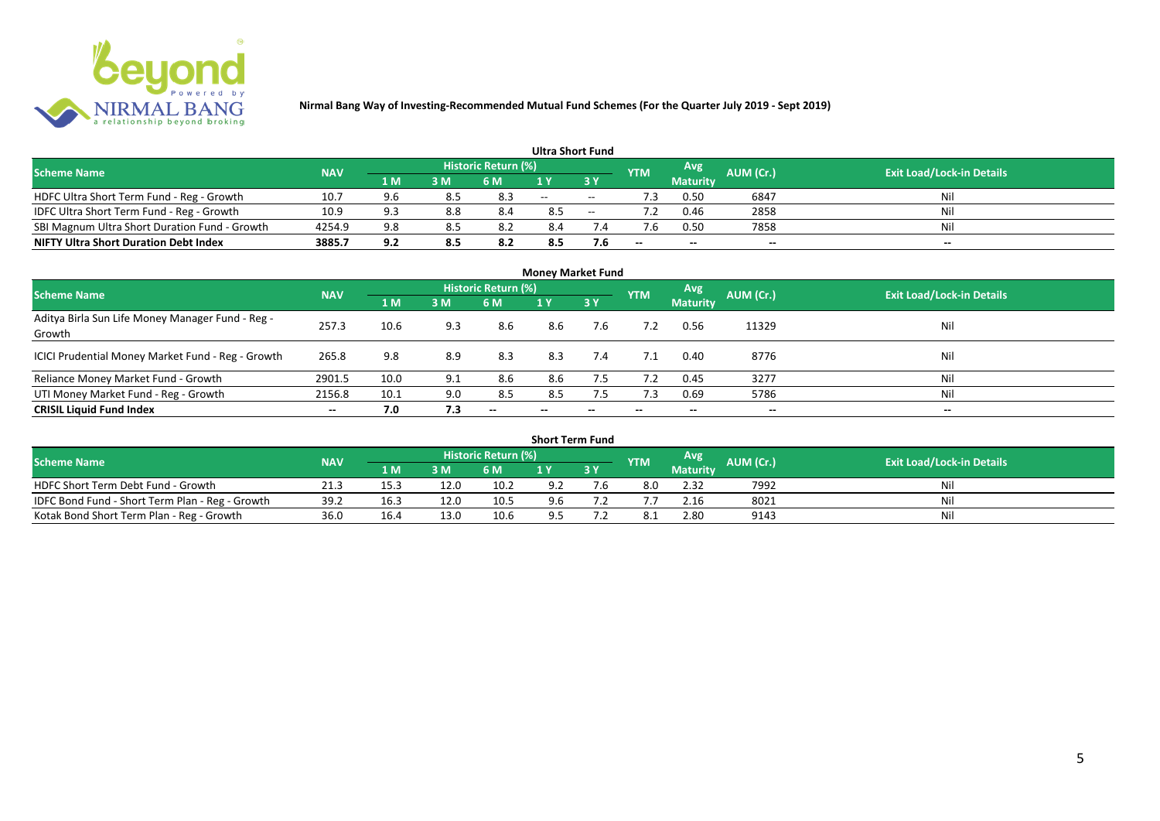

|                                               |            |     |     |                            | <b>Ultra Short Fund</b> |        |            |                 |           |                                  |
|-----------------------------------------------|------------|-----|-----|----------------------------|-------------------------|--------|------------|-----------------|-----------|----------------------------------|
| <b>Scheme Name</b>                            | <b>NAV</b> |     |     | <b>Historic Return (%)</b> |                         |        | <b>YTM</b> | Avg             | AUM (Cr.) | <b>Exit Load/Lock-in Details</b> |
|                                               |            | 1 M | 3 M | 6 M                        | 1 Y                     |        |            | <b>Maturity</b> |           |                                  |
| HDFC Ultra Short Term Fund - Reg - Growth     | 10.7       | 9.6 | 8.5 | 8.3                        | $\sim$ $\sim$           | $\sim$ | ٠3         | 0.50            | 6847      | Nil                              |
| IDFC Ultra Short Term Fund - Reg - Growth     | 10.9       | 9.3 | 8.8 | 8.4                        | 8.5                     | $\sim$ |            | 0.46            | 2858      | Nil                              |
| SBI Magnum Ultra Short Duration Fund - Growth | 4254.9     | 9.8 | 8.5 |                            | 8.4                     |        |            | 0.50            | 7858      | Nil                              |
| <b>NIFTY Ultra Short Duration Debt Index</b>  | 3885.7     | 9.2 | 8.5 | 8.2                        | 8.5                     | 7.6    | $- -$      | $- -$           | $- -$     | $- -$                            |

| <b>Money Market Fund</b>                                   |            |      |     |                     |       |                          |            |                 |                          |                                  |  |  |  |  |
|------------------------------------------------------------|------------|------|-----|---------------------|-------|--------------------------|------------|-----------------|--------------------------|----------------------------------|--|--|--|--|
| <b>Scheme Name</b>                                         | <b>NAV</b> |      |     | Historic Return (%) |       |                          | <b>YTM</b> | Avg             | AUM (Cr.)                | <b>Exit Load/Lock-in Details</b> |  |  |  |  |
|                                                            |            | 1 M  | 3M  | 6 M                 | 1Y    | 3Y                       |            | <b>Maturity</b> |                          |                                  |  |  |  |  |
| Aditya Birla Sun Life Money Manager Fund - Reg -<br>Growth | 257.3      | 10.6 | 9.3 | 8.6                 | 8.6   | 7.6                      |            | 0.56            | 11329                    | Nil                              |  |  |  |  |
| ICICI Prudential Money Market Fund - Reg - Growth          | 265.8      | 9.8  | 8.9 | 8.3                 | 8.3   | 7.4                      | 7.1        | 0.40            | 8776                     | Nil                              |  |  |  |  |
| Reliance Money Market Fund - Growth                        | 2901.5     | 10.0 | 9.1 | 8.6                 | 8.6   | 7.5                      | 7.2        | 0.45            | 3277                     | Nil                              |  |  |  |  |
| UTI Money Market Fund - Reg - Growth                       | 2156.8     | 10.1 | 9.0 | 8.5                 | 8.5   | 7.5                      | 7.3        | 0.69            | 5786                     | Nil                              |  |  |  |  |
| <b>CRISIL Liquid Fund Index</b>                            | $- -$      | 7.0  | 7.3 | $- -$               | $- -$ | $\overline{\phantom{a}}$ | $- -$      | --              | $\overline{\phantom{a}}$ | $- -$                            |  |  |  |  |

| <b>Short Term Fund</b>                          |            |      |                 |                            |     |           |            |                 |           |                                  |  |  |  |  |
|-------------------------------------------------|------------|------|-----------------|----------------------------|-----|-----------|------------|-----------------|-----------|----------------------------------|--|--|--|--|
| <b>Scheme Name</b>                              | <b>NAV</b> |      |                 | <b>Historic Return (%)</b> |     |           | <b>YTM</b> | Avg             | AUM (Cr.) | <b>Exit Load/Lock-in Details</b> |  |  |  |  |
|                                                 |            | 1 M' | 3 M             | 6 M                        | 1 Y | <b>3Y</b> |            | <b>Maturity</b> |           |                                  |  |  |  |  |
| HDFC Short Term Debt Fund - Growth              | 21.3       | 15.3 | 12 <sub>c</sub> | 10.2                       | 9.2 | 1.6       | 8.0        | 2.32            | 7992      | Nil                              |  |  |  |  |
| IDFC Bond Fund - Short Term Plan - Reg - Growth | 39.2       | 16.3 | 12 <sub>c</sub> | 10.5                       | 9.6 |           |            | 2.16            | 8021      | Nil                              |  |  |  |  |
| Kotak Bond Short Term Plan - Reg - Growth       | 36.0       | 16.4 | 13 <sub>c</sub> | 10.6                       | 9.5 |           |            | 2.80            | 9143      | Nil                              |  |  |  |  |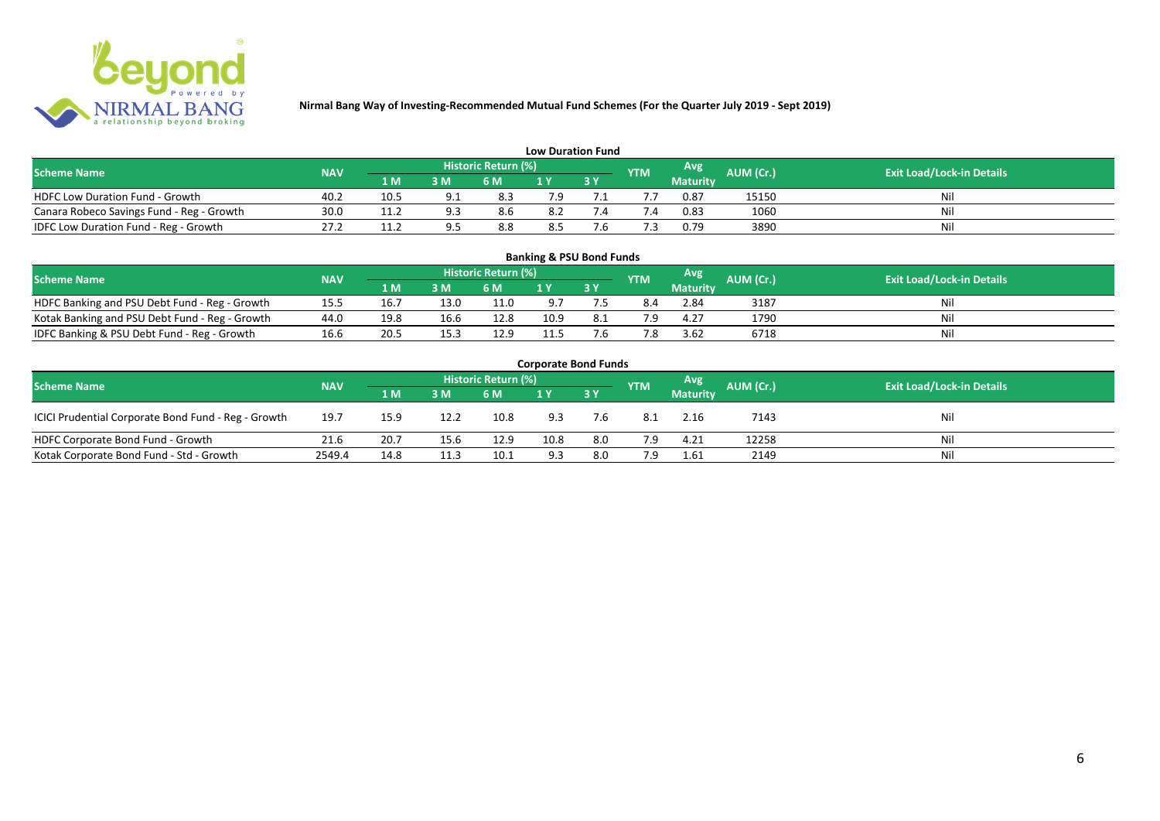

| <b>Low Duration Fund</b>                  |            |      |     |                            |     |  |               |          |           |                                  |  |  |  |  |
|-------------------------------------------|------------|------|-----|----------------------------|-----|--|---------------|----------|-----------|----------------------------------|--|--|--|--|
| <b>Scheme Name</b>                        | <b>NAV</b> |      |     | <b>Historic Return (%)</b> |     |  | <b>YTM</b>    | Avg      | AUM (Cr.) | <b>Exit Load/Lock-in Details</b> |  |  |  |  |
|                                           |            | 1 M  | 3 M | 6 M                        | 1 Y |  |               | Maturity |           |                                  |  |  |  |  |
| <b>HDFC Low Duration Fund - Growth</b>    | 40.2       | 10.5 |     | 8.3                        | 7.9 |  |               | 0.87     | 15150     | Nil                              |  |  |  |  |
| Canara Robeco Savings Fund - Reg - Growth | 30.0       | 11.7 | a : | 8.6                        | 8.2 |  | $^{\prime}.4$ | 0.83     | 1060      | Nil                              |  |  |  |  |
| IDFC Low Duration Fund - Reg - Growth     | 27.2       | 11.2 |     | 8.8                        | 8.5 |  |               | 0.79     | 3890      | Nil                              |  |  |  |  |

| <b>Banking &amp; PSU Bond Funds</b>                                                                                                                |      |      |      |      |      |     |     |                 |      |    |  |  |  |  |
|----------------------------------------------------------------------------------------------------------------------------------------------------|------|------|------|------|------|-----|-----|-----------------|------|----|--|--|--|--|
| <b>Historic Return (%)</b><br><b>Avg</b><br><b>AUM (Cr.)</b><br><b>Exit Load/Lock-in Details</b><br><b>NAV</b><br><b>Scheme Name</b><br><b>YTM</b> |      |      |      |      |      |     |     |                 |      |    |  |  |  |  |
|                                                                                                                                                    |      | 1 M  | 3 M  | 6 M  |      | 3 Y |     | <b>Maturity</b> |      |    |  |  |  |  |
| HDFC Banking and PSU Debt Fund - Reg - Growth                                                                                                      | 15.5 | 16.  | 13.0 | 11.0 | 9.7  |     |     | 2.84            | 3187 | Ni |  |  |  |  |
| Kotak Banking and PSU Debt Fund - Reg - Growth                                                                                                     | 44.0 | 19.8 | 16.6 | 12.8 | 10.9 |     | 7.9 | 4.27            | 1790 |    |  |  |  |  |
| IDFC Banking & PSU Debt Fund - Reg - Growth                                                                                                        | 16.6 | 20.5 | 15.3 | 12.9 |      |     | 7.8 | 3.62            | 6718 | Ni |  |  |  |  |

| <b>Corporate Bond Funds</b>                                                                                                   |        |      |      |      |      |           |     |                 |       |     |  |  |  |  |
|-------------------------------------------------------------------------------------------------------------------------------|--------|------|------|------|------|-----------|-----|-----------------|-------|-----|--|--|--|--|
| Historic Return (%)<br>Avg<br>AUM (Cr.)<br><b>Exit Load/Lock-in Details</b><br><b>Scheme Name</b><br><b>NAV</b><br><b>YTM</b> |        |      |      |      |      |           |     |                 |       |     |  |  |  |  |
|                                                                                                                               |        | 1 M  | 3 M  | 6 M  |      | <b>3Y</b> |     | <b>Maturity</b> |       |     |  |  |  |  |
| ICICI Prudential Corporate Bond Fund - Reg - Growth                                                                           | 19.7   | 15.9 | 12.2 | 10.8 | 9.3  | 7.6       | 8.1 | 2.16            | 7143  | Nil |  |  |  |  |
| HDFC Corporate Bond Fund - Growth                                                                                             | 21.6   | 20.7 | 15.6 | 12.9 | 10.8 | 8.0       | 7.9 | 4.21            | 12258 | Nil |  |  |  |  |
| Kotak Corporate Bond Fund - Std - Growth                                                                                      | 2549.4 | 14.8 | 11.3 | 10.1 | 9.3  | 8.0       | 7.9 | 1.61            | 2149  | Nil |  |  |  |  |